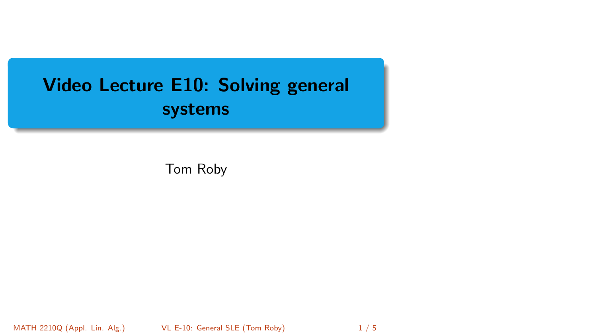# <span id="page-0-0"></span>Video Lecture E10: Solving general systems

Tom Roby

MATH 2210Q (Appl. Lin. Alg.) [VL E-10: General SLE](#page-4-0) (Tom Roby) 1/5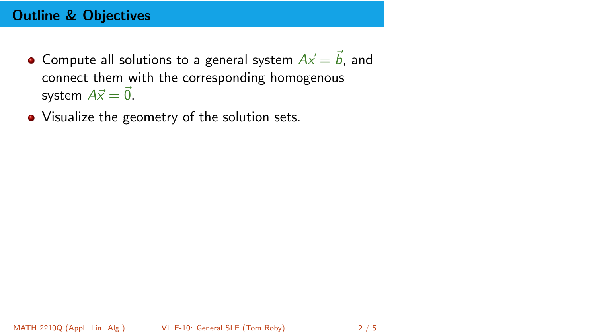# Outline & Objectives

- Compute all solutions to a general system  $A\vec{x} = \vec{b}$ , and connect them with the corresponding homogenous system  $A\vec{x} = \vec{0}$ .
- Visualize the geometry of the solution sets.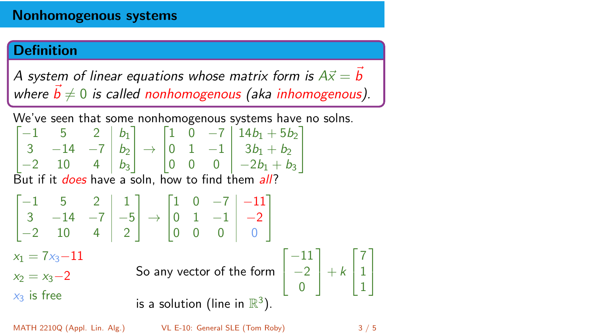#### Nonhomogenous systems

 $-1$  5 2  $b_1$ 

# **Definition**

A system of linear equations whose matrix form is  $A\vec{x} = \vec{b}$ where  $\vec{b} \neq 0$  is called nonhomogenous (aka inhomogenous).

We've seen that some nonhomogenous systems have no solns. Т 1  $\sqrt{ }$ 1

 $\mathbf{I}$ 3  $-14$   $-7$   $b_2$  $-2$  10 4  $b_3$  $\vert \rightarrow$  $\overline{1}$ 0 1  $-1$  3 $b_1 + b_2$  $\begin{array}{|c|c|c|c|c|} \hline 0 & 0 & 0 & -2b_1 + b_3 \ \hline \end{array}$ But if it *does* have a soln, how to find them  $all$ ?

$$
\begin{bmatrix} -1 & 5 & 2 & 1 \ 3 & -14 & -7 & -5 \ -2 & 10 & 4 & 2 \ \end{bmatrix} \rightarrow \begin{bmatrix} 1 & 0 & -7 & -11 \ 0 & 1 & -1 & -2 \ 0 & 0 & 0 & 0 \ \end{bmatrix}
$$
  
\n $x_1 = 7x_3 - 11$   
\n $x_2 = x_3 - 2$   
\nSo any vector of the form  $\begin{bmatrix} -11 \ -2 \ 0 \ \end{bmatrix} + k$   
\n $x_3$  is free

is a solution (line in  $\mathbb{R}^3$ ). 3 ).

MATH 2210Q (Appl. Lin. Alg.) [VL E-10: General SLE](#page-0-0) (Tom Roby) 3 / 5

1 0  $-7$  |  $14b_1 + 5b_2$ 

 $\overline{1}$ 

1  $\overline{1}$ 

 $\sqrt{ }$  $\overline{1}$ 7 1 1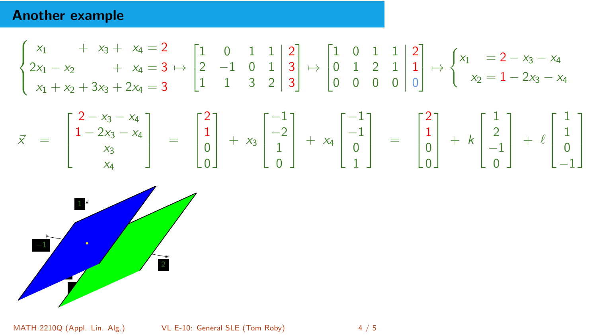## Another example

$$
\begin{cases}\nx_1 + x_3 + x_4 = 2 \\
2x_1 - x_2 + x_4 = 3 \rightarrow \begin{bmatrix} 1 & 0 & 1 & 1 & 2 \\
2 & -1 & 0 & 1 & 3 \\
1 & 1 & 3 & 2 & 3 \end{bmatrix} \rightarrow \begin{bmatrix} 1 & 0 & 1 & 1 & 2 \\
0 & 1 & 2 & 1 & 1 \\
0 & 0 & 0 & 0 & 0 \end{bmatrix} \rightarrow \begin{cases}\nx_1 = 2 - x_3 - x_4 \\
x_2 = 1 - 2x_3 - x_4 \\
x_2 = 1 - 2x_3 - x_4\n\end{cases}
$$

$$
\vec{x} = \begin{bmatrix} 2 - x_3 - x_4 \\ 1 - 2x_3 - x_4 \\ x_3 \\ x_4 \end{bmatrix} = \begin{bmatrix} 2 \\ 1 \\ 0 \\ 0 \end{bmatrix} + x_3 \begin{bmatrix} -1 \\ -2 \\ 1 \\ 0 \end{bmatrix} + x_4 \begin{bmatrix} -1 \\ -1 \\ 0 \\ 1 \end{bmatrix} = \begin{bmatrix} 2 \\ 1 \\ 0 \\ 0 \end{bmatrix} + k \begin{bmatrix} 1 \\ 2 \\ -1 \\ 0 \end{bmatrix} + \ell \begin{bmatrix} 1 \\ 1 \\ 0 \\ -1 \end{bmatrix}
$$